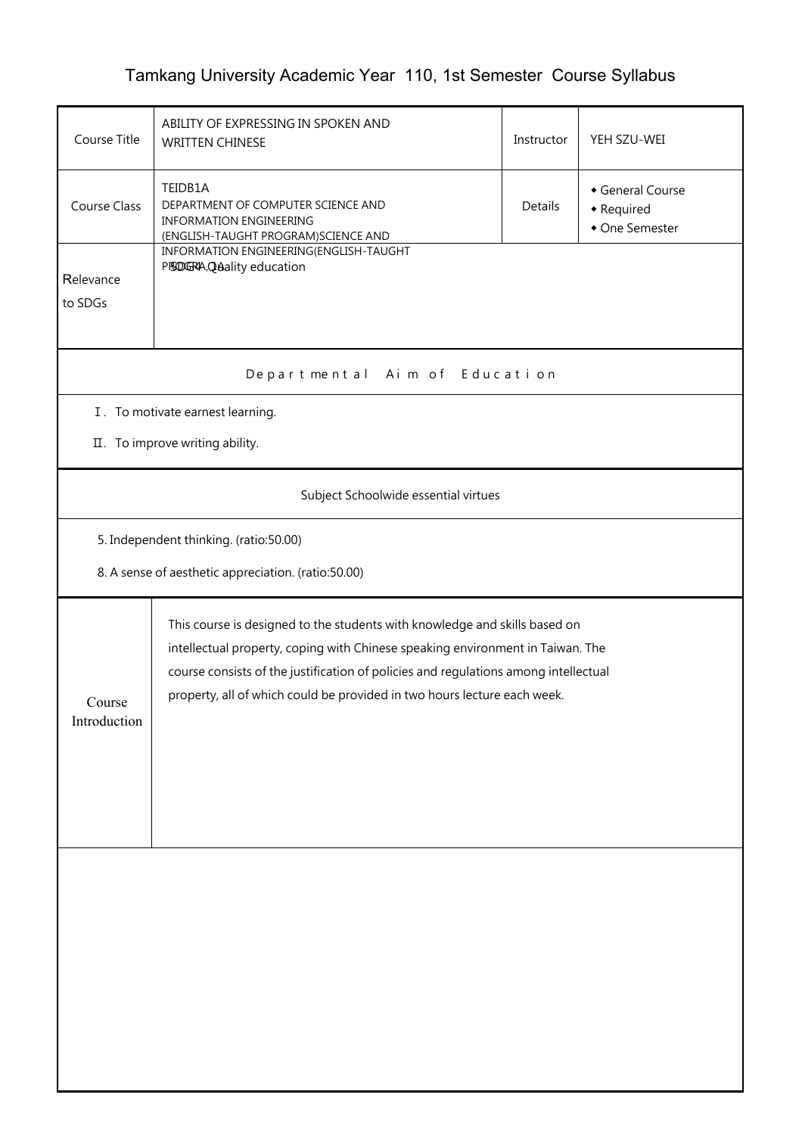## Tamkang University Academic Year 110, 1st Semester Course Syllabus

| Course Title                                                                                  | ABILITY OF EXPRESSING IN SPOKEN AND<br><b>WRITTEN CHINESE</b>                                                                                                                                                                                                                                                                   | Instructor | YEH SZU-WEI                                    |  |  |  |
|-----------------------------------------------------------------------------------------------|---------------------------------------------------------------------------------------------------------------------------------------------------------------------------------------------------------------------------------------------------------------------------------------------------------------------------------|------------|------------------------------------------------|--|--|--|
| Course Class                                                                                  | TEIDB1A<br>DEPARTMENT OF COMPUTER SCIENCE AND<br><b>INFORMATION ENGINEERING</b><br>(ENGLISH-TAUGHT PROGRAM)SCIENCE AND                                                                                                                                                                                                          | Details    | General Course<br>• Required<br>• One Semester |  |  |  |
| Relevance<br>to SDGs                                                                          | INFORMATION ENGINEERING(ENGLISH-TAUGHT<br>PISDGRA, Quality education                                                                                                                                                                                                                                                            |            |                                                |  |  |  |
|                                                                                               | Departmental Aim of Education                                                                                                                                                                                                                                                                                                   |            |                                                |  |  |  |
| I. To motivate earnest learning.<br>II. To improve writing ability.                           |                                                                                                                                                                                                                                                                                                                                 |            |                                                |  |  |  |
|                                                                                               | Subject Schoolwide essential virtues                                                                                                                                                                                                                                                                                            |            |                                                |  |  |  |
| 5. Independent thinking. (ratio:50.00)<br>8. A sense of aesthetic appreciation. (ratio:50.00) |                                                                                                                                                                                                                                                                                                                                 |            |                                                |  |  |  |
| Course<br>Introduction                                                                        | This course is designed to the students with knowledge and skills based on<br>intellectual property, coping with Chinese speaking environment in Taiwan. The<br>course consists of the justification of policies and regulations among intellectual<br>property, all of which could be provided in two hours lecture each week. |            |                                                |  |  |  |
|                                                                                               |                                                                                                                                                                                                                                                                                                                                 |            |                                                |  |  |  |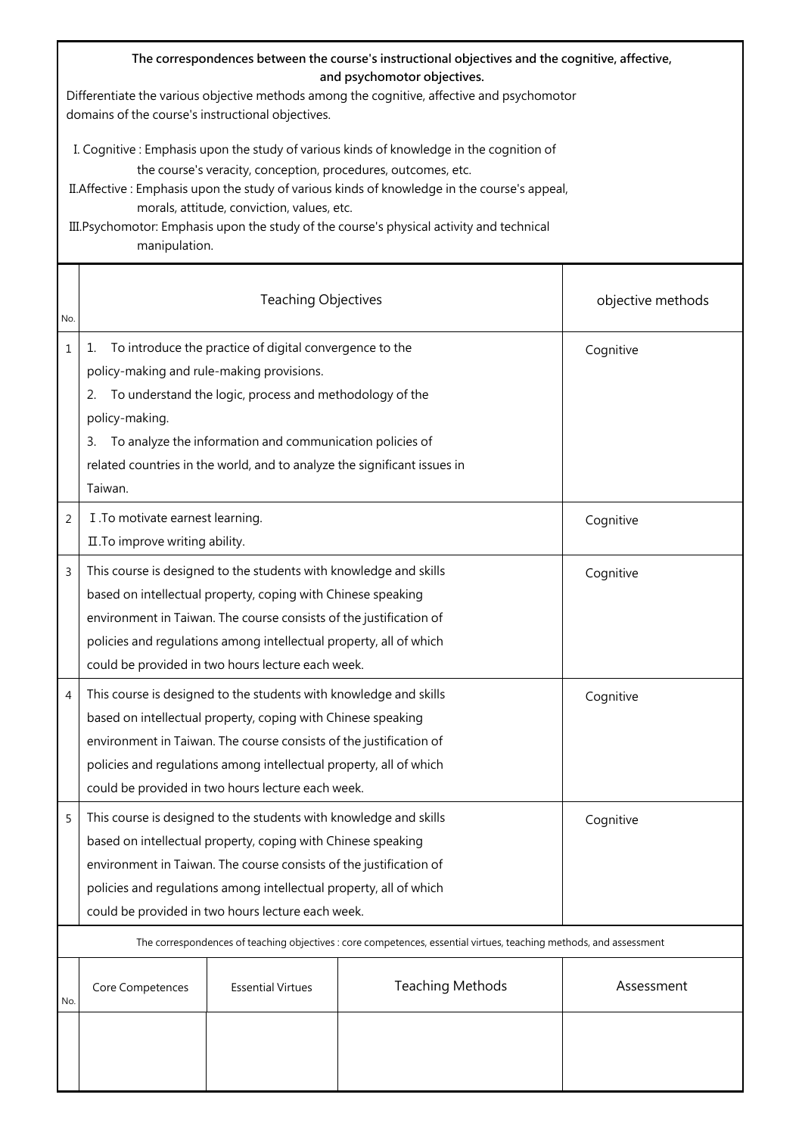|                | The correspondences between the course's instructional objectives and the cognitive, affective,<br>and psychomotor objectives.<br>Differentiate the various objective methods among the cognitive, affective and psychomotor<br>domains of the course's instructional objectives.                                                                                                                                     |                                                                                                                                                                                                                                                                                                                                    |                         |                   |  |
|----------------|-----------------------------------------------------------------------------------------------------------------------------------------------------------------------------------------------------------------------------------------------------------------------------------------------------------------------------------------------------------------------------------------------------------------------|------------------------------------------------------------------------------------------------------------------------------------------------------------------------------------------------------------------------------------------------------------------------------------------------------------------------------------|-------------------------|-------------------|--|
|                | I. Cognitive : Emphasis upon the study of various kinds of knowledge in the cognition of<br>the course's veracity, conception, procedures, outcomes, etc.<br>II. Affective: Emphasis upon the study of various kinds of knowledge in the course's appeal,<br>morals, attitude, conviction, values, etc.<br>III. Psychomotor: Emphasis upon the study of the course's physical activity and technical<br>manipulation. |                                                                                                                                                                                                                                                                                                                                    |                         |                   |  |
| No.            |                                                                                                                                                                                                                                                                                                                                                                                                                       | <b>Teaching Objectives</b>                                                                                                                                                                                                                                                                                                         |                         | objective methods |  |
| $\mathbf{1}$   | To introduce the practice of digital convergence to the<br>1.<br>policy-making and rule-making provisions.<br>To understand the logic, process and methodology of the<br>2.<br>policy-making.<br>To analyze the information and communication policies of<br>З.<br>related countries in the world, and to analyze the significant issues in<br>Taiwan.                                                                |                                                                                                                                                                                                                                                                                                                                    |                         | Cognitive         |  |
| $\overline{2}$ | I .To motivate earnest learning.<br>II. To improve writing ability.                                                                                                                                                                                                                                                                                                                                                   |                                                                                                                                                                                                                                                                                                                                    |                         | Cognitive         |  |
| 3              |                                                                                                                                                                                                                                                                                                                                                                                                                       | This course is designed to the students with knowledge and skills<br>based on intellectual property, coping with Chinese speaking<br>environment in Taiwan. The course consists of the justification of<br>policies and regulations among intellectual property, all of which<br>could be provided in two hours lecture each week. |                         | Cognitive         |  |
| 4              | This course is designed to the students with knowledge and skills<br>Cognitive<br>based on intellectual property, coping with Chinese speaking<br>environment in Taiwan. The course consists of the justification of<br>policies and regulations among intellectual property, all of which<br>could be provided in two hours lecture each week.                                                                       |                                                                                                                                                                                                                                                                                                                                    |                         |                   |  |
| 5              | This course is designed to the students with knowledge and skills<br>Cognitive<br>based on intellectual property, coping with Chinese speaking<br>environment in Taiwan. The course consists of the justification of<br>policies and regulations among intellectual property, all of which<br>could be provided in two hours lecture each week.                                                                       |                                                                                                                                                                                                                                                                                                                                    |                         |                   |  |
|                | The correspondences of teaching objectives : core competences, essential virtues, teaching methods, and assessment                                                                                                                                                                                                                                                                                                    |                                                                                                                                                                                                                                                                                                                                    |                         |                   |  |
| No.            | Core Competences                                                                                                                                                                                                                                                                                                                                                                                                      | <b>Essential Virtues</b>                                                                                                                                                                                                                                                                                                           | <b>Teaching Methods</b> | Assessment        |  |
|                |                                                                                                                                                                                                                                                                                                                                                                                                                       |                                                                                                                                                                                                                                                                                                                                    |                         |                   |  |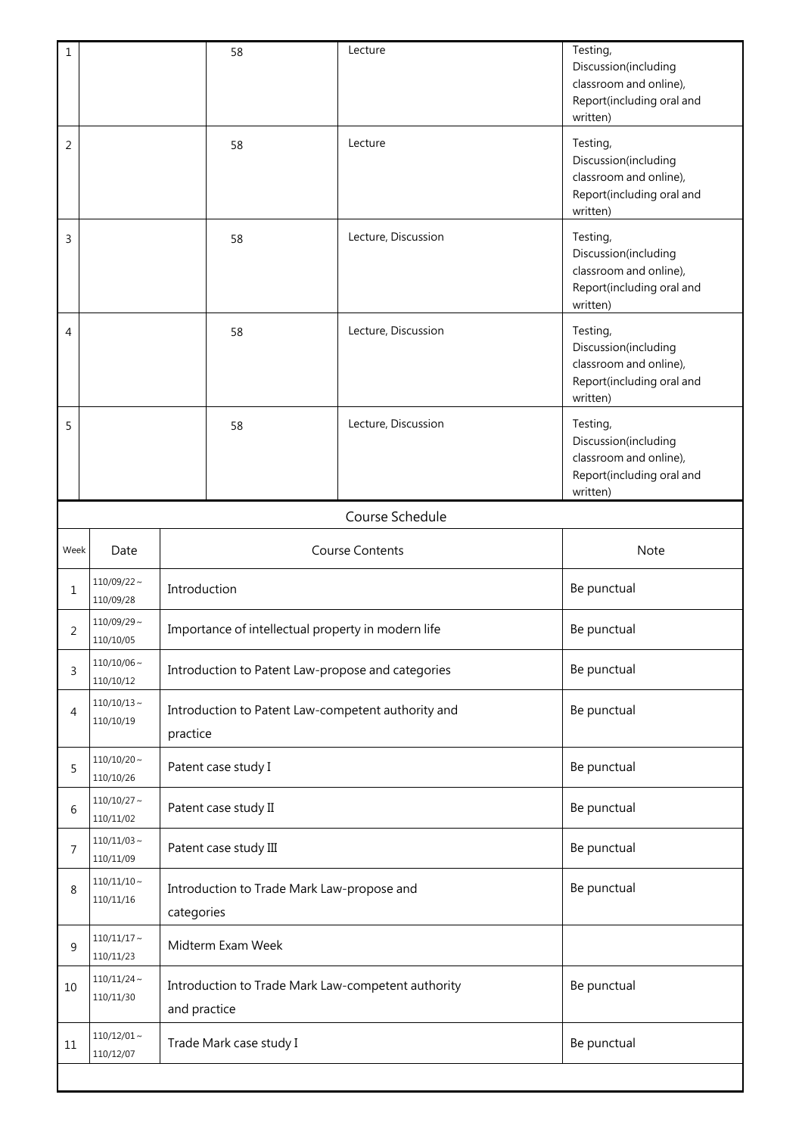| $\mathbf 1$                            |                                            |                                                                                   | 58                | Lecture             | Testing,<br>Discussion(including<br>classroom and online),<br>Report(including oral and<br>written) |  |
|----------------------------------------|--------------------------------------------|-----------------------------------------------------------------------------------|-------------------|---------------------|-----------------------------------------------------------------------------------------------------|--|
| 2                                      |                                            |                                                                                   | 58                | Lecture             | Testing,<br>Discussion(including<br>classroom and online),<br>Report(including oral and<br>written) |  |
| 3                                      |                                            |                                                                                   | 58                | Lecture, Discussion | Testing,<br>Discussion(including<br>classroom and online),<br>Report(including oral and<br>written) |  |
| $\overline{4}$                         |                                            |                                                                                   | 58                | Lecture, Discussion | Testing,<br>Discussion(including<br>classroom and online),<br>Report(including oral and<br>written) |  |
| 5                                      |                                            |                                                                                   | 58                | Lecture, Discussion | Testing,<br>Discussion(including<br>classroom and online),<br>Report(including oral and<br>written) |  |
|                                        |                                            |                                                                                   |                   | Course Schedule     |                                                                                                     |  |
| <b>Course Contents</b><br>Week<br>Date |                                            |                                                                                   |                   | <b>Note</b>         |                                                                                                     |  |
| 1                                      | $110/09/22$ ~<br>Introduction<br>110/09/28 |                                                                                   |                   | Be punctual         |                                                                                                     |  |
| $\overline{2}$                         | $110/09/29$ ~<br>110/10/05                 | Importance of intellectual property in modern life                                |                   | Be punctual         |                                                                                                     |  |
| 3                                      | $110/10/06 \sim$<br>110/10/12              | Introduction to Patent Law-propose and categories                                 |                   |                     | Be punctual                                                                                         |  |
| 4                                      | $110/10/13 \sim$<br>110/10/19              | Introduction to Patent Law-competent authority and<br>practice                    |                   |                     | Be punctual                                                                                         |  |
| 5                                      | $110/10/20 \sim$<br>110/10/26              | Patent case study I                                                               |                   |                     | Be punctual                                                                                         |  |
| 6                                      | $110/10/27$ ~<br>110/11/02                 | Patent case study II                                                              |                   |                     | Be punctual                                                                                         |  |
| 7                                      | $110/11/03 \sim$<br>110/11/09              | Patent case study III                                                             |                   |                     | Be punctual                                                                                         |  |
| 8                                      | $110/11/10 \sim$<br>110/11/16              | Introduction to Trade Mark Law-propose and<br>categories                          |                   |                     | Be punctual                                                                                         |  |
| 9                                      | $110/11/17$ ~<br>110/11/23                 |                                                                                   | Midterm Exam Week |                     |                                                                                                     |  |
| 10                                     | $110/11/24$ ~<br>110/11/30                 | Introduction to Trade Mark Law-competent authority<br>Be punctual<br>and practice |                   |                     |                                                                                                     |  |
| 11                                     | $110/12/01 \sim$<br>110/12/07              | Be punctual<br>Trade Mark case study I                                            |                   |                     |                                                                                                     |  |
|                                        |                                            |                                                                                   |                   |                     |                                                                                                     |  |